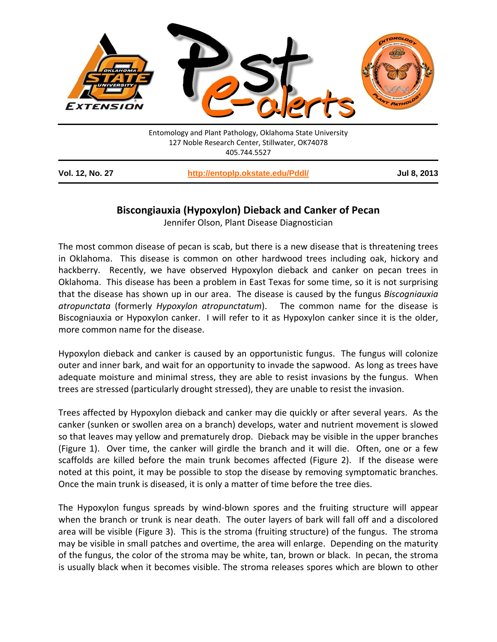

| Vol. 12, No. 27 | http://entoplp.okstate.edu/Pddl/ | Jul 8, 2013 |
|-----------------|----------------------------------|-------------|
|-----------------|----------------------------------|-------------|

## **Biscongiauxia (Hypoxylon) Dieback and Canker of Pecan**

Jennifer Olson, Plant Disease Diagnostician

The most common disease of pecan is scab, but there is a new disease that is threatening trees in Oklahoma. This disease is common on other hardwood trees including oak, hickory and hackberry. Recently, we have observed Hypoxylon dieback and canker on pecan trees in Oklahoma. This disease has been a problem in East Texas for some time, so it is not surprising that the disease has shown up in our area. The disease is caused by the fungus *Biscogniauxia atropunctata* (formerly *Hypoxylon atropunctatum*). The common name for the disease is Biscogniauxia or Hypoxylon canker. I will refer to it as Hypoxylon canker since it is the older, more common name for the disease.

Hypoxylon dieback and canker is caused by an opportunistic fungus. The fungus will colonize outer and inner bark, and wait for an opportunity to invade the sapwood. As long as trees have adequate moisture and minimal stress, they are able to resist invasions by the fungus. When trees are stressed (particularly drought stressed), they are unable to resist the invasion.

Trees affected by Hypoxylon dieback and canker may die quickly or after several years. As the canker (sunken or swollen area on a branch) develops, water and nutrient movement is slowed so that leaves may yellow and prematurely drop. Dieback may be visible in the upper branches (Figure 1). Over time, the canker will girdle the branch and it will die. Often, one or a few scaffolds are killed before the main trunk becomes affected (Figure 2). If the disease were noted at this point, it may be possible to stop the disease by removing symptomatic branches. Once the main trunk is diseased, it is only a matter of time before the tree dies.

The Hypoxylon fungus spreads by wind-blown spores and the fruiting structure will appear when the branch or trunk is near death. The outer layers of bark will fall off and a discolored area will be visible (Figure 3). This is the stroma (fruiting structure) of the fungus. The stroma may be visible in small patches and overtime, the area will enlarge. Depending on the maturity of the fungus, the color of the stroma may be white, tan, brown or black. In pecan, the stroma is usually black when it becomes visible. The stroma releases spores which are blown to other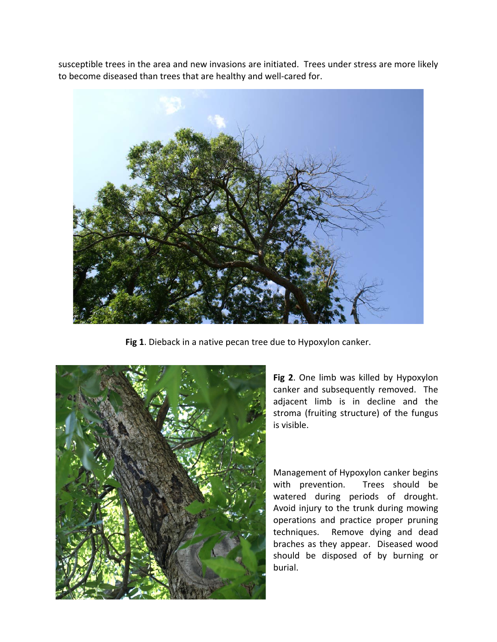susceptible trees in the area and new invasions are initiated. Trees under stress are more likely to become diseased than trees that are healthy and well-cared for.



**Fig 1**. Dieback in a native pecan tree due to Hypoxylon canker.



**Fig 2**. One limb was killed by Hypoxylon canker and subsequently removed. The adjacent limb is in decline and the stroma (fruiting structure) of the fungus is visible.

Management of Hypoxylon canker begins with prevention. Trees should be watered during periods of drought. Avoid injury to the trunk during mowing operations and practice proper pruning techniques. Remove dying and dead braches as they appear. Diseased wood should be disposed of by burning or burial.